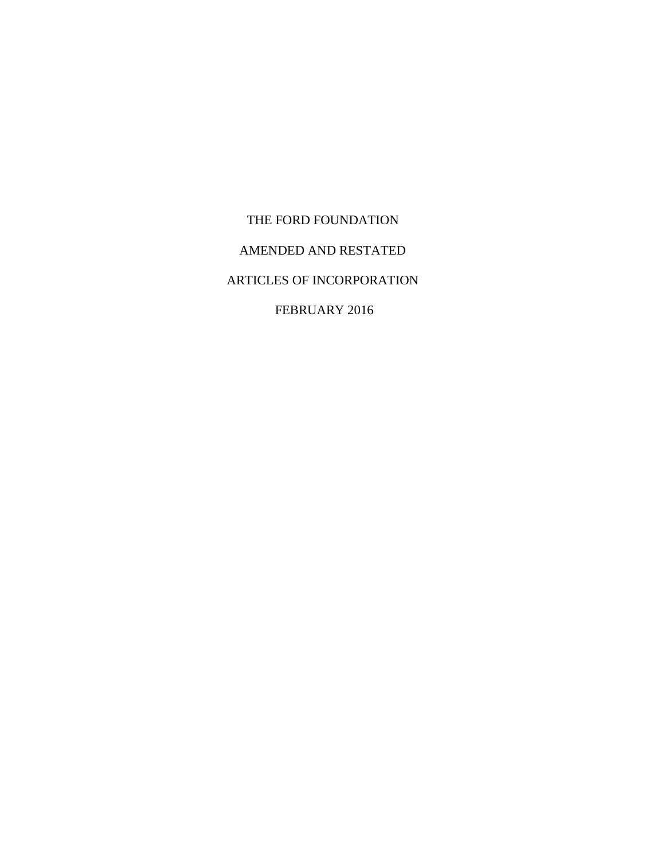THE FORD FOUNDATION AMENDED AND RESTATED ARTICLES OF INCORPORATION FEBRUARY 2016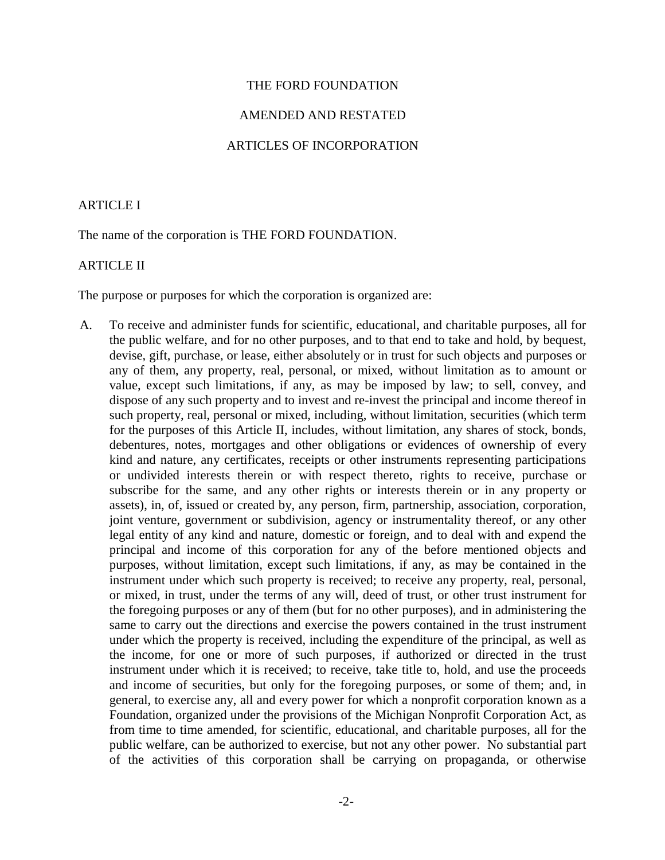#### THE FORD FOUNDATION

#### AMENDED AND RESTATED

### ARTICLES OF INCORPORATION

### ARTICLE I

The name of the corporation is THE FORD FOUNDATION.

## ARTICLE II

The purpose or purposes for which the corporation is organized are:

A. To receive and administer funds for scientific, educational, and charitable purposes, all for the public welfare, and for no other purposes, and to that end to take and hold, by bequest, devise, gift, purchase, or lease, either absolutely or in trust for such objects and purposes or any of them, any property, real, personal, or mixed, without limitation as to amount or value, except such limitations, if any, as may be imposed by law; to sell, convey, and dispose of any such property and to invest and re-invest the principal and income thereof in such property, real, personal or mixed, including, without limitation, securities (which term for the purposes of this Article II, includes, without limitation, any shares of stock, bonds, debentures, notes, mortgages and other obligations or evidences of ownership of every kind and nature, any certificates, receipts or other instruments representing participations or undivided interests therein or with respect thereto, rights to receive, purchase or subscribe for the same, and any other rights or interests therein or in any property or assets), in, of, issued or created by, any person, firm, partnership, association, corporation, joint venture, government or subdivision, agency or instrumentality thereof, or any other legal entity of any kind and nature, domestic or foreign, and to deal with and expend the principal and income of this corporation for any of the before mentioned objects and purposes, without limitation, except such limitations, if any, as may be contained in the instrument under which such property is received; to receive any property, real, personal, or mixed, in trust, under the terms of any will, deed of trust, or other trust instrument for the foregoing purposes or any of them (but for no other purposes), and in administering the same to carry out the directions and exercise the powers contained in the trust instrument under which the property is received, including the expenditure of the principal, as well as the income, for one or more of such purposes, if authorized or directed in the trust instrument under which it is received; to receive, take title to, hold, and use the proceeds and income of securities, but only for the foregoing purposes, or some of them; and, in general, to exercise any, all and every power for which a nonprofit corporation known as a Foundation, organized under the provisions of the Michigan Nonprofit Corporation Act, as from time to time amended, for scientific, educational, and charitable purposes, all for the public welfare, can be authorized to exercise, but not any other power. No substantial part of the activities of this corporation shall be carrying on propaganda, or otherwise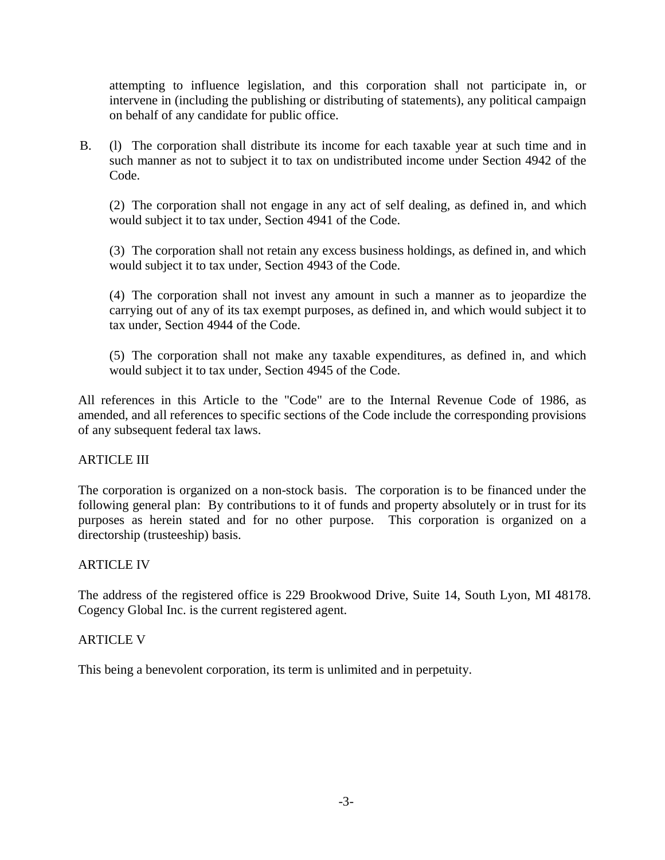attempting to influence legislation, and this corporation shall not participate in, or intervene in (including the publishing or distributing of statements), any political campaign on behalf of any candidate for public office.

B. (l) The corporation shall distribute its income for each taxable year at such time and in such manner as not to subject it to tax on undistributed income under Section 4942 of the Code.

(2) The corporation shall not engage in any act of self dealing, as defined in, and which would subject it to tax under, Section 4941 of the Code.

(3) The corporation shall not retain any excess business holdings, as defined in, and which would subject it to tax under, Section 4943 of the Code.

(4) The corporation shall not invest any amount in such a manner as to jeopardize the carrying out of any of its tax exempt purposes, as defined in, and which would subject it to tax under, Section 4944 of the Code.

(5) The corporation shall not make any taxable expenditures, as defined in, and which would subject it to tax under, Section 4945 of the Code.

All references in this Article to the "Code" are to the Internal Revenue Code of 1986, as amended, and all references to specific sections of the Code include the corresponding provisions of any subsequent federal tax laws.

# ARTICLE III

The corporation is organized on a non-stock basis. The corporation is to be financed under the following general plan: By contributions to it of funds and property absolutely or in trust for its purposes as herein stated and for no other purpose. This corporation is organized on a directorship (trusteeship) basis.

## ARTICLE IV

The address of the registered office is 229 Brookwood Drive, Suite 14, South Lyon, MI 48178. Cogency Global Inc. is the current registered agent.

## ARTICLE V

This being a benevolent corporation, its term is unlimited and in perpetuity.